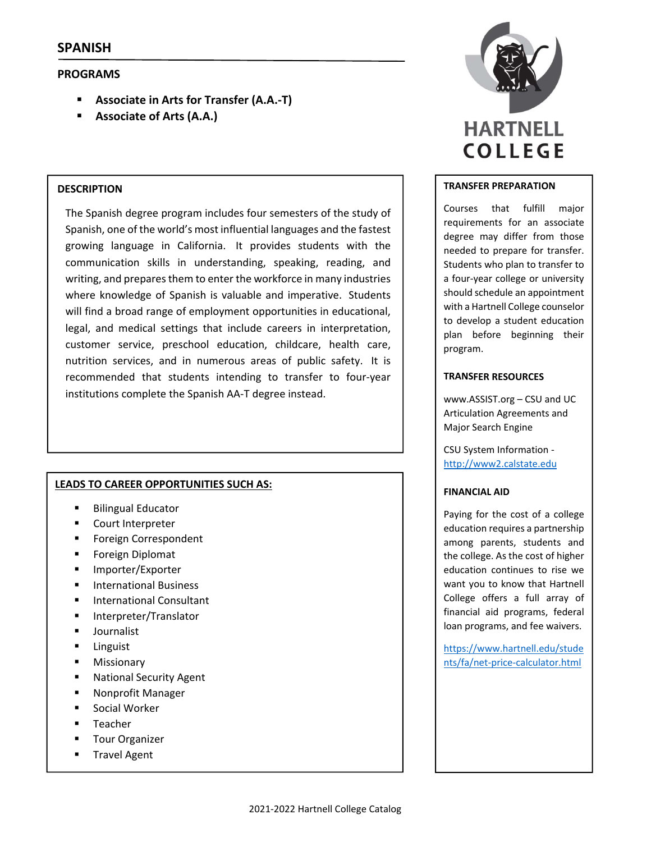# **PROGRAMS**

- **Associate in Arts for Transfer (A.A.‐T)**
- **Associate of Arts (A.A.)**

### **DESCRIPTION**

The Spanish degree program includes four semesters of the study of Spanish, one of the world's most influential languages and the fastest growing language in California. It provides students with the communication skills in understanding, speaking, reading, and writing, and prepares them to enter the workforce in many industries where knowledge of Spanish is valuable and imperative. Students will find a broad range of employment opportunities in educational, legal, and medical settings that include careers in interpretation, customer service, preschool education, childcare, health care, nutrition services, and in numerous areas of public safety. It is recommended that students intending to transfer to four‐year institutions complete the Spanish AA‐T degree instead.

# **LEADS TO CAREER OPPORTUNITIES SUCH AS:**

- Bilingual Educator
- **Court Interpreter**
- Foreign Correspondent
- **Foreign Diplomat**
- **Importer/Exporter**
- International Business
- **International Consultant**
- Interpreter/Translator
- **Journalist**
- **Linguist**
- **Missionary**
- **National Security Agent**
- **-** Nonprofit Manager
- Social Worker
- **Teacher**
- Tour Organizer
- **Travel Agent**



### **TRANSFER PREPARATION**

Courses that fulfill major requirements for an associate degree may differ from those needed to prepare for transfer. Students who plan to transfer to a four‐year college or university should schedule an appointment with a Hartnell College counselor to develop a student education plan before beginning their program.

# **TRANSFER RESOURCES**

www.ASSIST.org – CSU and UC Articulation Agreements and Major Search Engine

CSU System Information ‐ http://www2.calstate.edu

# **FINANCIAL AID**

Paying for the cost of a college education requires a partnership among parents, students and the college. As the cost of higher education continues to rise we want you to know that Hartnell College offers a full array of financial aid programs, federal loan programs, and fee waivers.

https://www.hartnell.edu/stude nts/fa/net‐price‐calculator.html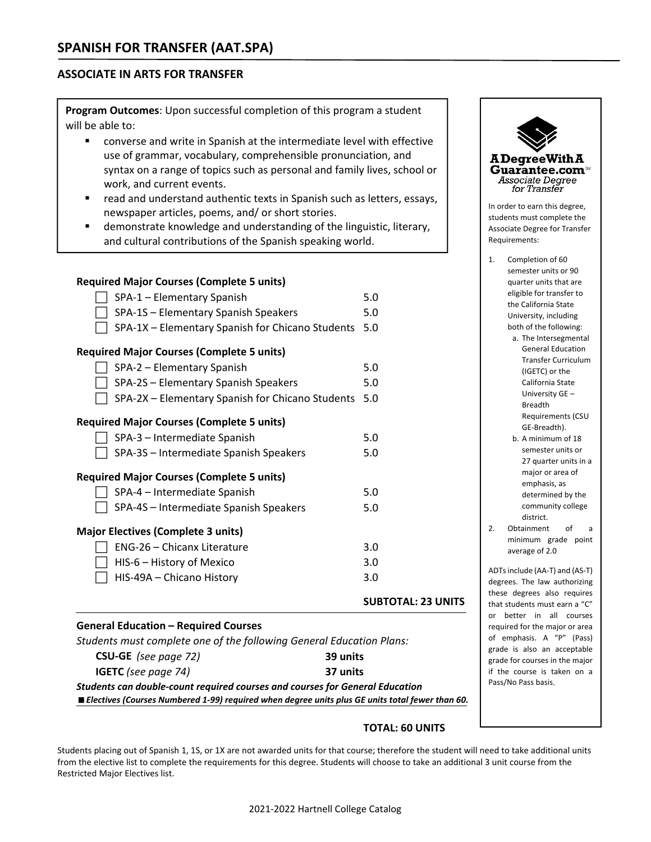# **ASSOCIATE IN ARTS FOR TRANSFER**

**Program Outcomes**: Upon successful completion of this program a student will be able to:

- converse and write in Spanish at the intermediate level with effective use of grammar, vocabulary, comprehensible pronunciation, and syntax on a range of topics such as personal and family lives, school or work, and current events.
- read and understand authentic texts in Spanish such as letters, essays, newspaper articles, poems, and/ or short stories.
- **E** demonstrate knowledge and understanding of the linguistic, literary, and cultural contributions of the Spanish speaking world.

|                                                  | <b>SUBTOTAL: 23 UNITS</b> |
|--------------------------------------------------|---------------------------|
| HIS-49A - Chicano History                        | 3.0                       |
| HIS-6 – History of Mexico                        | 3.0                       |
| ENG-26 - Chicanx Literature                      | 3.0                       |
| <b>Major Electives (Complete 3 units)</b>        |                           |
| SPA-4S - Intermediate Spanish Speakers           | 5.0                       |
| SPA-4 - Intermediate Spanish                     | 5.0                       |
| <b>Required Major Courses (Complete 5 units)</b> |                           |
| SPA-3S - Intermediate Spanish Speakers           | 5.0                       |
| SPA-3 - Intermediate Spanish                     | 5.0                       |
| <b>Required Major Courses (Complete 5 units)</b> |                           |
| SPA-2X - Elementary Spanish for Chicano Students | 5.0                       |
| SPA-2S - Elementary Spanish Speakers             | 5.0                       |
| SPA-2 - Elementary Spanish                       | 5.0                       |
| <b>Required Major Courses (Complete 5 units)</b> |                           |
| SPA-1X - Elementary Spanish for Chicano Students | 5.0                       |
| SPA-1S - Elementary Spanish Speakers             | 5.0                       |
| SPA-1 - Elementary Spanish                       | 5.0                       |
| <b>Required Major Courses (Complete 5 units)</b> |                           |

#### **General Education – Required Courses**

|                             | Students must complete one of the following General Education Plans: |
|-----------------------------|----------------------------------------------------------------------|
| <b>CSU-GE</b> (see page 72) | 39 units                                                             |

| <b>IGETC</b> (see page 74) | 37 units                                                                     |
|----------------------------|------------------------------------------------------------------------------|
|                            | Students can double-count required courses and courses for General Education |

*Electives (Courses Numbered 1‐99) required when degree units plus GE units total fewer than 60.*

# **TOTAL: 60 UNITS**

Students placing out of Spanish 1, 1S, or 1X are not awarded units for that course; therefore the student will need to take additional units from the elective list to complete the requirements for this degree. Students will choose to take an additional 3 unit course from the Restricted Major Electives list.



- Transfer Curriculum (IGETC) or the California State University GE – Breadth Requirements (CSU GE‐Breadth).
- b. A minimum of 18 semester units or 27 quarter units in a major or area of emphasis, as determined by the community college district.
- 2. Obtainment of a minimum grade point average of 2.0

ADTsinclude (AA‐T) and (AS‐T) degrees. The law authorizing these degrees also requires that students must earn a "C" or better in all courses required for the major or area of emphasis. A "P" (Pass) grade is also an acceptable grade for courses in the major if the course is taken on a Pass/No Pass basis.